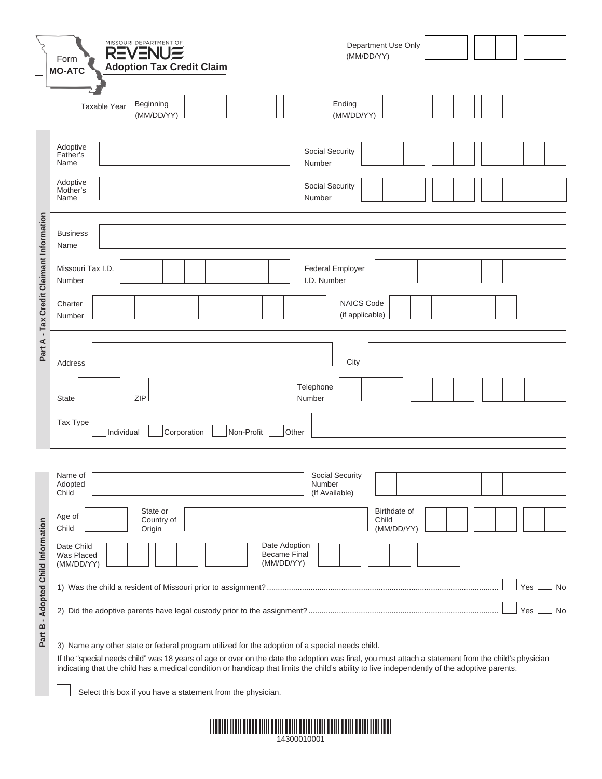|                                          | MISSOURI DEPARTMENT OF<br>REVENU≣<br>Form<br><b>Adoption Tax Credit Claim</b><br><b>MO-ATC</b>                                                                                                                                 | Department Use Only<br>(MM/DD/YY)                                                                                                                                                                                                                                                                                                                                                                                                                                                |
|------------------------------------------|--------------------------------------------------------------------------------------------------------------------------------------------------------------------------------------------------------------------------------|----------------------------------------------------------------------------------------------------------------------------------------------------------------------------------------------------------------------------------------------------------------------------------------------------------------------------------------------------------------------------------------------------------------------------------------------------------------------------------|
|                                          | Beginning<br>Taxable Year<br>(MM/DD/YY)                                                                                                                                                                                        | Ending<br>(MM/DD/YY)                                                                                                                                                                                                                                                                                                                                                                                                                                                             |
| Part A - Tax Credit Claimant Information | Adoptive<br>Father's<br>Name<br>Adoptive<br>Mother's<br>Name                                                                                                                                                                   | Social Security<br>Number<br>Social Security<br>Number                                                                                                                                                                                                                                                                                                                                                                                                                           |
|                                          | <b>Business</b><br>Name<br>Missouri Tax I.D.<br>Number<br>Charter<br>Number<br>Address<br><b>ZIP</b><br><b>State</b><br>Tax Type<br>Non-Profit<br>Individual<br>Corporation                                                    | <b>Federal Employer</b><br>I.D. Number<br><b>NAICS Code</b><br>(if applicable)<br>City<br>Telephone<br>Number<br>Other                                                                                                                                                                                                                                                                                                                                                           |
| Part B - Adopted Child Information       | Name of<br>Adopted<br>Child<br>State or<br>Age of<br>Country of<br>Child<br>Origin<br>Date Child<br>Was Placed<br>(MM/DD/YY)<br>3) Name any other state or federal program utilized for the adoption of a special needs child. | Social Security<br>Number<br>(If Available)<br>Birthdate of<br>Child<br>(MM/DD/YY)<br>Date Adoption<br><b>Became Final</b><br>(MM/DD/YY)<br>Yes<br><b>No</b><br>Yes<br>No<br>If the "special needs child" was 18 years of age or over on the date the adoption was final, you must attach a statement from the child's physician<br>indicating that the child has a medical condition or handicap that limits the child's ability to live independently of the adoptive parents. |
|                                          | Select this box if you have a statement from the physician.                                                                                                                                                                    |                                                                                                                                                                                                                                                                                                                                                                                                                                                                                  |

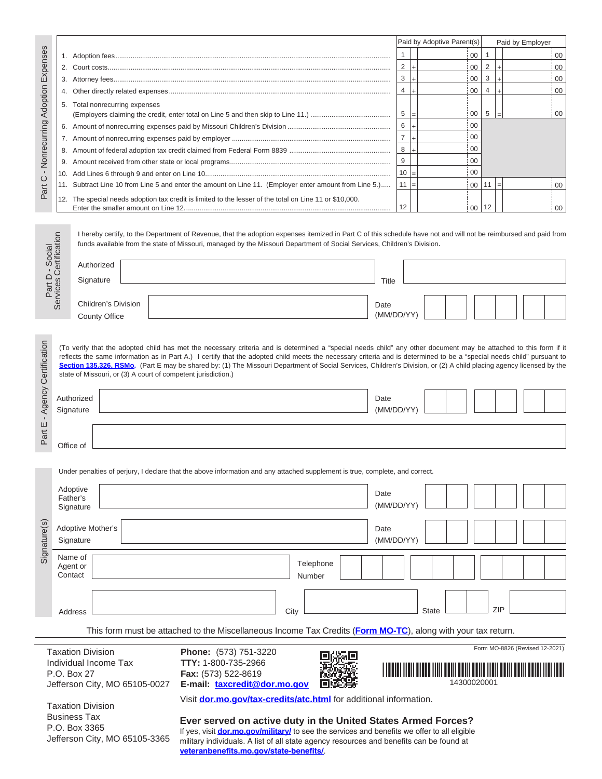|                                  |     |                                                                                                                                                                                                                                                                                             | Paid by Adoptive Parent(s) |           |    | Paid by Employer |       |      |
|----------------------------------|-----|---------------------------------------------------------------------------------------------------------------------------------------------------------------------------------------------------------------------------------------------------------------------------------------------|----------------------------|-----------|----|------------------|-------|------|
| - Nonrecurring Adoption Expenses |     |                                                                                                                                                                                                                                                                                             |                            |           | 00 |                  |       | 00   |
|                                  | 2.  |                                                                                                                                                                                                                                                                                             | 2                          |           | 00 | 2                |       | - 00 |
|                                  | 3.  |                                                                                                                                                                                                                                                                                             | 3                          |           | 00 | 3                |       | 00   |
|                                  | 4.  |                                                                                                                                                                                                                                                                                             | 4                          |           | 00 |                  |       | i 00 |
|                                  | 5.  | Total nonrecurring expenses                                                                                                                                                                                                                                                                 |                            |           |    |                  |       |      |
|                                  |     |                                                                                                                                                                                                                                                                                             | 5                          |           | 00 | 5                |       | 00   |
|                                  | 6.  |                                                                                                                                                                                                                                                                                             | 6                          | $\ddot{}$ | 00 |                  |       |      |
|                                  |     |                                                                                                                                                                                                                                                                                             | $\overline{7}$             |           | 00 |                  |       |      |
|                                  | 8.  |                                                                                                                                                                                                                                                                                             | 8                          | ÷         | 00 |                  |       |      |
|                                  | 9.  |                                                                                                                                                                                                                                                                                             | 9                          |           | 00 |                  |       |      |
|                                  | 10. |                                                                                                                                                                                                                                                                                             | 10                         | $=$       | 00 |                  |       |      |
| Part C                           |     | Subtract Line 10 from Line 5 and enter the amount on Line 11. (Employer enter amount from Line 5.)                                                                                                                                                                                          | $11 =$                     |           | 00 | 11               | $l =$ | i 00 |
|                                  | 12. | The special needs adoption tax credit is limited to the lesser of the total on Line 11 or \$10,000.                                                                                                                                                                                         |                            |           |    |                  |       |      |
|                                  |     |                                                                                                                                                                                                                                                                                             | 12                         |           | 00 | 12               |       | - 00 |
| cial<br>ication                  |     | I hereby certify, to the Department of Revenue, that the adoption expenses itemized in Part C of this schedule have not and will not be reimbursed and paid from<br>funds available from the state of Missouri, managed by the Missouri Department of Social Services, Children's Division. |                            |           |    |                  |       |      |

|                                       | l hereby certify, to the Department of Revenue, that the adoption expenses itemized in Part C of this schedule have not and will not be reimbursed and paid from<br>funds available from the state of Missouri, managed by the Missouri Department of Social Services, Children's Division. |            |
|---------------------------------------|---------------------------------------------------------------------------------------------------------------------------------------------------------------------------------------------------------------------------------------------------------------------------------------------|------------|
| Part D - Social<br>vices Certificatio | Authorized                                                                                                                                                                                                                                                                                  |            |
|                                       | Signature                                                                                                                                                                                                                                                                                   | Title      |
|                                       |                                                                                                                                                                                                                                                                                             |            |
| တိ                                    | Children's Division                                                                                                                                                                                                                                                                         | Date       |
|                                       | County Office                                                                                                                                                                                                                                                                               | (MM/DD/YY) |

Certification (To verify that the adopted child has met the necessary criteria and is determined a "special needs child" any other document may be attached to this form if it reflects the same information as in Part A.) I certify that the adopted child meets the necessary criteria and is determined to be a "special needs child" pursuant to **Section 135.326, RSMo.** (Part E may be shared by: (1) The Missouri Department of Social Services, Children's Division, or (2) A child placing agency licensed by the state of Missouri, or (3) A court of competent jurisdiction.)

| Certificatio |                         | (To verify that the adopted child has met the necessary criteria and is determined a "special needs child" any other document may be attached to this form if it<br>reflects the same information as in Part A.) I certify that the adopted child meets the necessary criteria and is determined to be a "special needs child" pursuant to<br>Section 135.326, RSMo. (Part E may be shared by: (1) The Missouri Department of Social Services, Children's Division, or (2) A child placing agency licensed by the<br>state of Missouri, or (3) A court of competent jurisdiction.) |                    |  |  |
|--------------|-------------------------|------------------------------------------------------------------------------------------------------------------------------------------------------------------------------------------------------------------------------------------------------------------------------------------------------------------------------------------------------------------------------------------------------------------------------------------------------------------------------------------------------------------------------------------------------------------------------------|--------------------|--|--|
| Agen         | Authorized<br>Signature |                                                                                                                                                                                                                                                                                                                                                                                                                                                                                                                                                                                    | Date<br>(MM/DD/YY) |  |  |
| Ш<br>Part    | Office of               |                                                                                                                                                                                                                                                                                                                                                                                                                                                                                                                                                                                    |                    |  |  |

Under penalties of perjury, I declare that the above information and any attached supplement is true, complete, and correct.

| Signature(s)      | Adoptive<br>Father's<br>Signature                                                                                                              | Date<br>(MM/DD/YY)  |  |  |  |  |  |  |
|-------------------|------------------------------------------------------------------------------------------------------------------------------------------------|---------------------|--|--|--|--|--|--|
|                   | Adoptive Mother's<br>Signature                                                                                                                 | Date<br>(MM/DD/YY)  |  |  |  |  |  |  |
|                   | Name of<br>Telephone<br>Agent or<br>Contact<br>Number                                                                                          |                     |  |  |  |  |  |  |
|                   | City<br>Address                                                                                                                                | ZIP<br><b>State</b> |  |  |  |  |  |  |
| Tovotion Division | This form must be attached to the Miscellaneous Income Tax Credits (Form MO-TC), along with your tax return.<br>Form MO-8826 (Revised 12-2021) |                     |  |  |  |  |  |  |

Taxation Division **Phone:** (573) 751-3220 Individual Income Tax **TTY:** 1-800-735-2966Jefferson City, MO 65105-0027 **E-mail: taxcredit@dor.mo.gov**

Fax: (573) 522-8619



\*14300020001\* 14300020001

 Taxation Division Business Tax P.O. Box 3365 Jefferson City, MO 65105-3365 Visit **dor.mo.gov/tax-credits/atc.html** for additional information.

**Ever served on active duty in the United States Armed Forces?**  If yes, visit **dor.mo.gov/military/** to see the services and benefits we offer to all eligible military individuals. A list of all state agency resources and benefits can be found at **veteranbenefits.mo.gov/state-benefits/**.